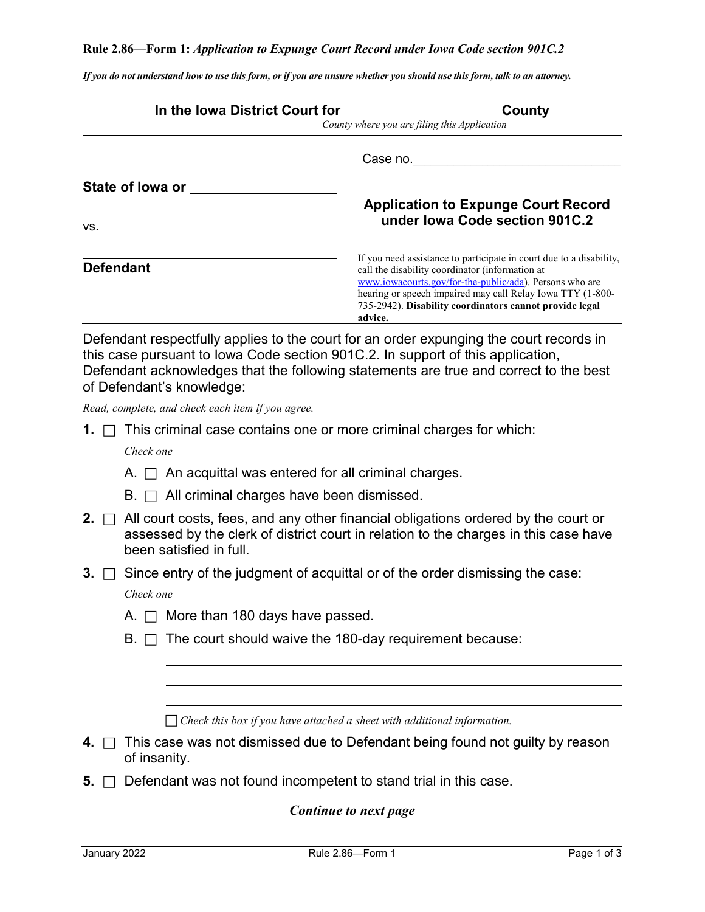#### **Rule 2.86—Form 1:** *Application to Expunge Court Record under Iowa Code section 901C.2*

| In the Iowa District Court for                                                          | County<br>County where you are filing this Application                                                                                                                                                                                                                                                                |  |
|-----------------------------------------------------------------------------------------|-----------------------------------------------------------------------------------------------------------------------------------------------------------------------------------------------------------------------------------------------------------------------------------------------------------------------|--|
| State of lowa or                                                                        | Case no.                                                                                                                                                                                                                                                                                                              |  |
| VS.                                                                                     | <b>Application to Expunge Court Record</b><br>under Iowa Code section 901C.2                                                                                                                                                                                                                                          |  |
| <b>Defendant</b>                                                                        | If you need assistance to participate in court due to a disability,<br>call the disability coordinator (information at<br>www.iowacourts.gov/for-the-public/ada). Persons who are<br>hearing or speech impaired may call Relay Iowa TTY (1-800-<br>735-2942). Disability coordinators cannot provide legal<br>advice. |  |
| Defendant respectfully applies to the court for an order expunging the court records in |                                                                                                                                                                                                                                                                                                                       |  |

*If you do not understand how to use this form, or if you are unsure whether you should use this form, talk to an attorney.*

Defendant respectfully applies to the court for an order expunging the court records in this case pursuant to Iowa Code section 901C.2. In support of this application, Defendant acknowledges that the following statements are true and correct to the best of Defendant's knowledge:

*Read, complete, and check each item if you agree.*

**1.**  $\Box$  This criminal case contains one or more criminal charges for which:

*Check one*

- A.  $\Box$  An acquittal was entered for all criminal charges.
- $B. \Box$  All criminal charges have been dismissed.
- **2.**  $\Box$  All court costs, fees, and any other financial obligations ordered by the court or assessed by the clerk of district court in relation to the charges in this case have been satisfied in full.
- **3.**  $\Box$  Since entry of the judgment of acquittal or of the order dismissing the case:

*Check one*

- A.  $\Box$  More than 180 days have passed.
- $B. \Box$  The court should waive the 180-day requirement because:

*Check this box if you have attached a sheet with additional information.*

- **4.** □ This case was not dismissed due to Defendant being found not guilty by reason of insanity.
- **5.**  $\Box$  Defendant was not found incompetent to stand trial in this case.

#### *Continue to next page*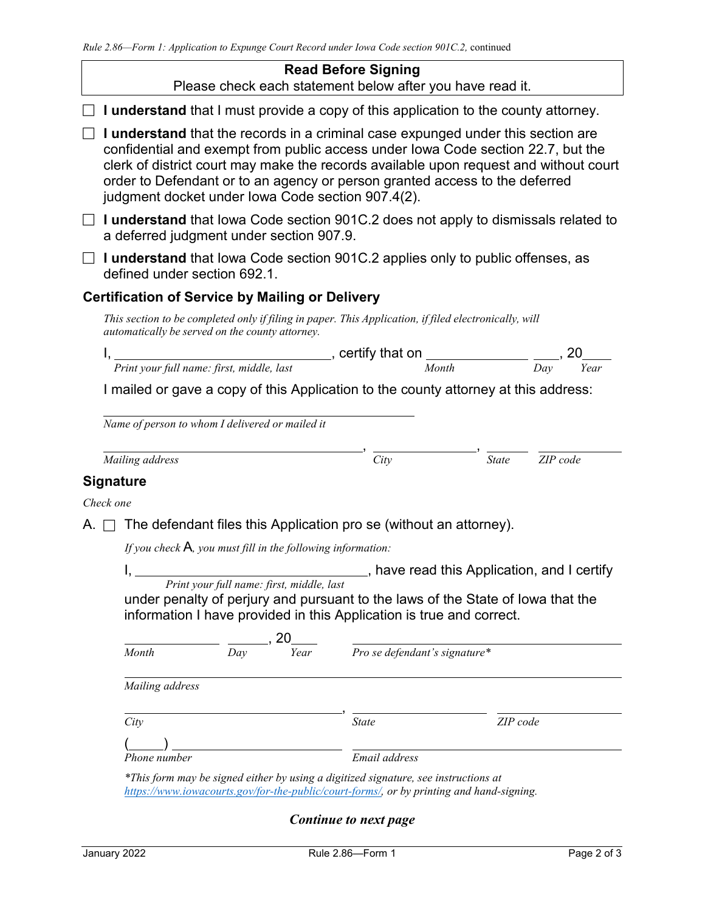## **Read Before Signing**

Please check each statement below after you have read it.

 $\Box$  **I understand** that I must provide a copy of this application to the county attorney.

 **I understand** that the records in a criminal case expunged under this section are confidential and exempt from public access under Iowa Code section 22.7, but the clerk of district court may make the records available upon request and without court order to Defendant or to an agency or person granted access to the deferred judgment docket under Iowa Code section 907.4(2).

 **I understand** that Iowa Code section 901C.2 does not apply to dismissals related to a deferred judgment under section 907.9.

 **I understand** that Iowa Code section 901C.2 applies only to public offenses, as defined under section 692.1.

# **Certification of Service by Mailing or Delivery**

*This section to be completed only if filing in paper. This Application, if filed electronically, will automatically be served on the county attorney.*

I, \_\_\_\_\_\_\_\_\_\_\_\_\_\_\_\_\_\_\_\_\_\_\_\_\_\_\_\_\_\_\_, certify that on \_\_\_\_\_\_\_\_\_\_\_\_\_\_\_ \_\_\_\_, 20 *Print your full name: first, middle, last Month Day Year*

I mailed or gave a copy of this Application to the county attorney at this address:

*Name of person to whom I delivered or mailed it*

*Mailing address City State ZIP code*

, ,

# **Signature**

*Check one*

A.  $\Box$  The defendant files this Application pro se (without an attorney).

*If you check* A*, you must fill in the following information:*

I, , have read this Application, and I certify

*Print your full name: first, middle, last* under penalty of perjury and pursuant to the laws of the State of Iowa that the information I have provided in this Application is true and correct.

| Month           | Day | 20<br>Year |               | Pro se defendant's signature* |  |
|-----------------|-----|------------|---------------|-------------------------------|--|
| Mailing address |     |            |               |                               |  |
| City            |     |            | <b>State</b>  | ZIP code                      |  |
| Phone number    |     |            | Email address |                               |  |

*\*This form may be signed either by using a digitized signature, see instructions at [https://www.iowacourts.gov/for-the-public/court-forms/,](https://www.iowacourts.gov/for-the-public/court-forms/) or by printing and hand-signing.*

*Continue to next page*